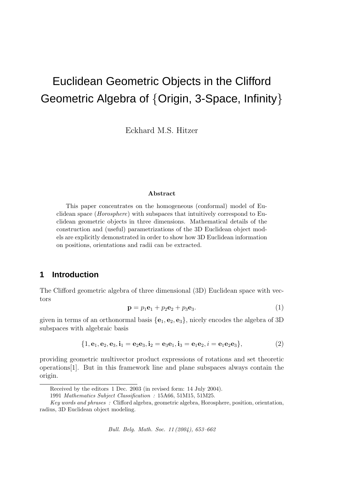# Euclidean Geometric Objects in the Clifford Geometric Algebra of {Origin, 3-Space, Infinity}

Eckhard M.S. Hitzer

#### Abstract

This paper concentrates on the homogeneous (conformal) model of Euclidean space (Horosphere) with subspaces that intuitively correspond to Euclidean geometric objects in three dimensions. Mathematical details of the construction and (useful) parametrizations of the 3D Euclidean object models are explicitly demonstrated in order to show how 3D Euclidean information on positions, orientations and radii can be extracted.

## **1 Introduction**

The Clifford geometric algebra of three dimensional (3D) Euclidean space with vectors

$$
\mathbf{p} = p_1 \mathbf{e}_1 + p_2 \mathbf{e}_2 + p_3 \mathbf{e}_3. \tag{1}
$$

given in terms of an orthonormal basis  $\{e_1, e_2, e_3\}$ , nicely encodes the algebra of 3D subspaces with algebraic basis

$$
\{1, e_1, e_2, e_3, i_1 = e_2 e_3, i_2 = e_3 e_1, i_3 = e_1 e_2, i = e_1 e_2 e_3\},\tag{2}
$$

providing geometric multivector product expressions of rotations and set theoretic operations[1]. But in this framework line and plane subspaces always contain the origin.

Bull. Belg. Math. Soc. 11 (2004), 653–662

Received by the editors 1 Dec. 2003 (in revised form: 14 July 2004).

<sup>1991</sup> Mathematics Subject Classification : 15A66, 51M15, 51M25.

Key words and phrases : Clifford algebra, geometric algebra, Horosphere, position, orientation, radius, 3D Euclidean object modeling.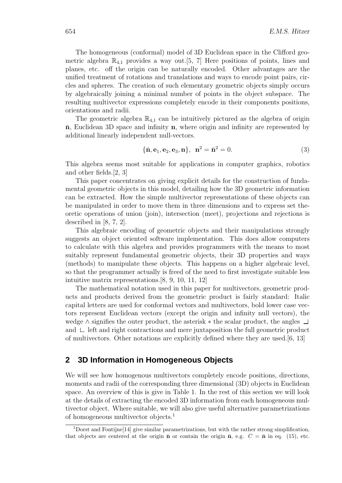The homogeneous (conformal) model of 3D Euclidean space in the Clifford geometric algebra  $\mathbb{R}_{4,1}$  provides a way out.[5, 7] Here positions of points, lines and planes, etc. off the origin can be naturally encoded. Other advantages are the unified treatment of rotations and translations and ways to encode point pairs, circles and spheres. The creation of such elementary geometric objects simply occurs by algebraically joining a minimal number of points in the object subspace. The resulting multivector expressions completely encode in their components positions, orientations and radii.

The geometric algebra  $\mathbb{R}_{4,1}$  can be intuitively pictured as the algebra of origin  $\bar{\mathbf{n}}$ , Euclidean 3D space and infinity  $\mathbf{n}$ , where origin and infinity are represented by additional linearly independent null-vectors.

$$
\{\bar{n}, e_1, e_2, e_3, n\}, \ \ n^2 = \bar{n}^2 = 0. \tag{3}
$$

This algebra seems most suitable for applications in computer graphics, robotics and other fields.[2, 3]

This paper concentrates on giving explicit details for the construction of fundamental geometric objects in this model, detailing how the 3D geometric information can be extracted. How the simple multivector representations of these objects can be manipulated in order to move them in three dimensions and to express set theoretic operations of union (join), intersection (meet), projections and rejections is described in [8, 7, 2].

This algebraic encoding of geometric objects and their manipulations strongly suggests an object oriented software implementation. This does allow computers to calculate with this algebra and provides programmers with the means to most suitably represent fundamental geometric objects, their 3D properties and ways (methods) to manipulate these objects. This happens on a higher algebraic level, so that the programmer actually is freed of the need to first investigate suitable less intuitive matrix representations.[8, 9, 10, 11, 12]

The mathematical notation used in this paper for multivectors, geometric products and products derived from the geometric product is fairly standard: Italic capital letters are used for conformal vectors and multivectors, bold lower case vectors represent Euclidean vectors (except the origin and infinity null vectors), the wedge ∧ signifies the outer product, the asterisk ∗ the scalar product, the angles and  $\Box$  left and right contractions and mere juxtaposition the full geometric product of multivectors. Other notations are explicitly defined where they are used.[6, 13]

## **2 3D Information in Homogeneous Objects**

We will see how homogenous multivectors completely encode positions, directions, moments and radii of the corresponding three dimensional (3D) objects in Euclidean space. An overview of this is give in Table 1. In the rest of this section we will look at the details of extracting the encoded 3D information from each homogeneous multivector object. Where suitable, we will also give useful alternative parametrizations of homogeneous multivector objects.<sup>1</sup>

<sup>&</sup>lt;sup>1</sup>Dorst and Fontijne<sup>[14]</sup> give similar parametrizations, but with the rather strong simplification, that objects are centered at the origin  $\bar{\mathbf{n}}$  or contain the origin  $\bar{\mathbf{n}}$ , e.g.  $C = \bar{\mathbf{n}}$  in eq. (15), etc.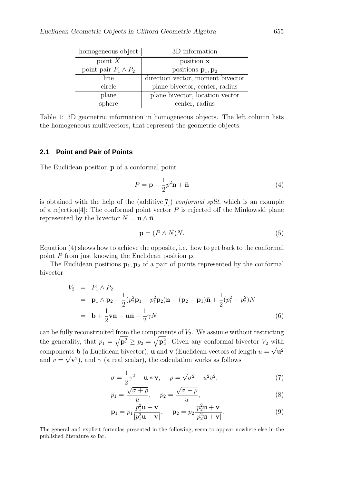| homogeneous object          | 3D information                         |
|-----------------------------|----------------------------------------|
| point $X$                   | position x                             |
| point pair $P_1 \wedge P_2$ | positions $\mathbf{p}_1, \mathbf{p}_2$ |
| line                        | direction vector, moment bivector      |
| circle                      | plane bivector, center, radius         |
| plane                       | plane bivector, location vector        |
| sphere                      | center, radius                         |

Table 1: 3D geometric information in homogeneous objects. The left column lists the homogeneous multivectors, that represent the geometric objects.

### **2.1 Point and Pair of Points**

The Euclidean position **p** of a conformal point

$$
P = \mathbf{p} + \frac{1}{2}p^2 \mathbf{n} + \bar{\mathbf{n}} \tag{4}
$$

is obtained with the help of the (additive[7]) conformal split, which is an example of a rejection<sup>[4]</sup>: The conformal point vector  $P$  is rejected off the Minkowski plane represented by the bivector  $N = \mathbf{n} \wedge \mathbf{\bar{n}}$ 

$$
\mathbf{p} = (P \wedge N)N. \tag{5}
$$

Equation (4) shows how to achieve the opposite, i.e. how to get back to the conformal point P from just knowing the Euclidean position p.

The Euclidean positions  $\mathbf{p}_1, \mathbf{p}_2$  of a pair of points represented by the conformal bivector

$$
V_2 = P_1 \wedge P_2
$$
  
=  $\mathbf{p}_1 \wedge \mathbf{p}_2 + \frac{1}{2} (p_2^2 \mathbf{p}_1 - p_1^2 \mathbf{p}_2) \mathbf{n} - (\mathbf{p}_2 - \mathbf{p}_1) \bar{\mathbf{n}} + \frac{1}{2} (p_1^2 - p_2^2) N$   
=  $\mathbf{b} + \frac{1}{2} \mathbf{v} \mathbf{n} - \mathbf{u} \bar{\mathbf{n}} - \frac{1}{2} \gamma N$  (6)

can be fully reconstructed from the components of  $V_2$ . We assume without restricting the generality, that  $p_1 = \sqrt{\mathbf{p}_1^2} \ge p_2 = \sqrt{\mathbf{p}_2^2}$ . Given any conformal bivector  $V_2$  with components **b** (a Euclidean bivector), **u** and **v** (Euclidean vectors of length  $u = \sqrt{u^2}$ and  $v = \sqrt{\mathbf{v}^2}$ , and  $\gamma$  (a real scalar), the calculation works as follows

$$
\sigma = \frac{1}{2}\gamma^2 - \mathbf{u} * \mathbf{v}, \quad \rho = \sqrt{\sigma^2 - u^2 v^2}, \tag{7}
$$

$$
p_1 = \frac{\sqrt{\sigma + \rho}}{u}, \quad p_2 = \frac{\sqrt{\sigma - \rho}}{u}, \tag{8}
$$

$$
\mathbf{p}_1 = p_1 \frac{p_1^2 \mathbf{u} + \mathbf{v}}{|p_1^2 \mathbf{u} + \mathbf{v}|}, \quad \mathbf{p}_2 = p_2 \frac{p_2^2 \mathbf{u} + \mathbf{v}}{|p_2^2 \mathbf{u} + \mathbf{v}|}.
$$
 (9)

The general and explicit formulas presented in the following, seem to appear nowhere else in the published literature so far.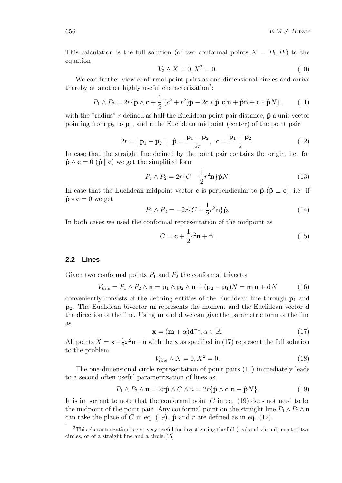This calculation is the full solution (of two conformal points  $X = P_1, P_2$ ) to the equation

$$
V_2 \wedge X = 0, X^2 = 0. \tag{10}
$$

We can further view conformal point pairs as one-dimensional circles and arrive thereby at another highly useful characterization<sup>2</sup>:

$$
P_1 \wedge P_2 = 2r\{\hat{\mathbf{p}} \wedge \mathbf{c} + \frac{1}{2}[(c^2 + r^2)\hat{\mathbf{p}} - 2\mathbf{c} * \hat{\mathbf{p}} \mathbf{c}]\mathbf{n} + \hat{\mathbf{p}}\bar{\mathbf{n}} + \mathbf{c} * \hat{\mathbf{p}}N\},\qquad(11)
$$

with the "radius" r defined as half the Euclidean point pair distance,  $\hat{\mathbf{p}}$  a unit vector pointing from  $p_2$  to  $p_1$ , and c the Euclidean midpoint (center) of the point pair:

$$
2r = |\mathbf{p}_1 - \mathbf{p}_2|, \ \hat{\mathbf{p}} = \frac{\mathbf{p}_1 - \mathbf{p}_2}{2r}, \ \mathbf{c} = \frac{\mathbf{p}_1 + \mathbf{p}_2}{2}.
$$
 (12)

In case that the straight line defined by the point pair contains the origin, i.e. for  $\hat{\mathbf{p}} \wedge \mathbf{c} = 0$  ( $\hat{\mathbf{p}} \parallel \mathbf{c}$ ) we get the simplified form

$$
P_1 \wedge P_2 = 2r\{C - \frac{1}{2}r^2\mathbf{n}\}\hat{\mathbf{p}}N.
$$
\n(13)

In case that the Euclidean midpoint vector **c** is perpendicular to  $\hat{\mathbf{p}}$  ( $\hat{\mathbf{p}} \perp \mathbf{c}$ ), i.e. if  $\hat{\mathbf{p}} * \mathbf{c} = 0$  we get

$$
P_1 \wedge P_2 = -2r\{C + \frac{1}{2}r^2\mathbf{n}\}\hat{\mathbf{p}}.\tag{14}
$$

In both cases we used the conformal representation of the midpoint as

$$
C = \mathbf{c} + \frac{1}{2}c^2 \mathbf{n} + \bar{\mathbf{n}}.\tag{15}
$$

### **2.2 Lines**

Given two conformal points  $P_1$  and  $P_2$  the conformal trivector

$$
V_{line} = P_1 \wedge P_2 \wedge \mathbf{n} = \mathbf{p}_1 \wedge \mathbf{p}_2 \wedge \mathbf{n} + (\mathbf{p}_2 - \mathbf{p}_1)N = \mathbf{m}\mathbf{n} + \mathbf{d}N \tag{16}
$$

conveniently consists of the defining entities of the Euclidean line through  $p_1$  and  $p_2$ . The Euclidean bivector **m** represents the moment and the Euclidean vector **d** the direction of the line. Using  **and**  $**d**$  **we can give the parametric form of the line** as

$$
\mathbf{x} = (\mathbf{m} + \alpha)\mathbf{d}^{-1}, \alpha \in \mathbb{R}.
$$
 (17)

All points  $X = \mathbf{x} + \frac{1}{2}$  $\frac{1}{2}x^2\mathbf{n}+\bar{\mathbf{n}}$  with the **x** as specified in (17) represent the full solution to the problem

$$
V_{line} \wedge X = 0, X^2 = 0. \tag{18}
$$

The one-dimensional circle representation of point pairs (11) immediately leads to a second often useful parametrization of lines as

$$
P_1 \wedge P_2 \wedge \mathbf{n} = 2r\hat{\mathbf{p}} \wedge C \wedge n = 2r\{\hat{\mathbf{p}} \wedge \mathbf{c} \mathbf{n} - \hat{\mathbf{p}}N\}.
$$
 (19)

It is important to note that the conformal point  $C$  in eq. (19) does not need to be the midpoint of the point pair. Any conformal point on the straight line  $P_1 \wedge P_2 \wedge n$ can take the place of C in eq. (19).  $\hat{\mathbf{p}}$  and r are defined as in eq. (12).

<sup>2</sup>This characterization is e.g. very useful for investigating the full (real and virtual) meet of two circles, or of a straight line and a circle.[15]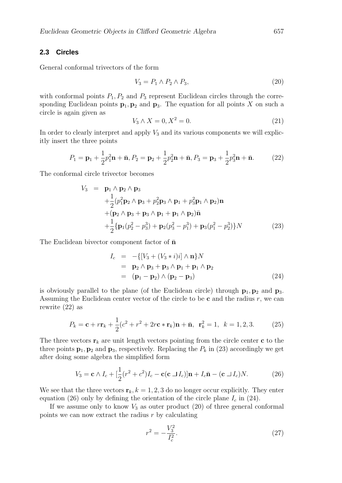#### **2.3 Circles**

General conformal trivectors of the form

$$
V_3 = P_1 \wedge P_2 \wedge P_3,\tag{20}
$$

with conformal points  $P_1, P_2$  and  $P_3$  represent Euclidean circles through the corresponding Euclidean points  $\mathbf{p}_1, \mathbf{p}_2$  and  $\mathbf{p}_3$ . The equation for all points X on such a circle is again given as

$$
V_3 \wedge X = 0, X^2 = 0. \tag{21}
$$

In order to clearly interpret and apply  $V_3$  and its various components we will explicitly insert the three points

$$
P_1 = \mathbf{p}_1 + \frac{1}{2}p_1^2 \mathbf{n} + \bar{\mathbf{n}}, P_2 = \mathbf{p}_2 + \frac{1}{2}p_2^2 \mathbf{n} + \bar{\mathbf{n}}, P_3 = \mathbf{p}_3 + \frac{1}{2}p_3^2 \mathbf{n} + \bar{\mathbf{n}}.
$$
 (22)

The conformal circle trivector becomes

$$
V_3 = \mathbf{p}_1 \wedge \mathbf{p}_2 \wedge \mathbf{p}_3 + \frac{1}{2} (p_1^2 \mathbf{p}_2 \wedge \mathbf{p}_3 + p_2^2 \mathbf{p}_3 \wedge \mathbf{p}_1 + p_3^2 \mathbf{p}_1 \wedge \mathbf{p}_2) \mathbf{n} + (\mathbf{p}_2 \wedge \mathbf{p}_3 + \mathbf{p}_3 \wedge \mathbf{p}_1 + \mathbf{p}_1 \wedge \mathbf{p}_2) \mathbf{\bar{n}} + \frac{1}{2} {\mathbf{p}_1 (p_2^2 - p_3^3) + \mathbf{p}_2 (p_3^2 - p_1^3) + \mathbf{p}_3 (p_1^2 - p_2^3)} N
$$
 (23)

The Euclidean bivector component factor of  $\bar{n}$ 

$$
I_c = -\{ [V_3 + (V_3 * i)i] \wedge \mathbf{n} \} N
$$
  
=  $\mathbf{p}_2 \wedge \mathbf{p}_3 + \mathbf{p}_3 \wedge \mathbf{p}_1 + \mathbf{p}_1 \wedge \mathbf{p}_2$   
=  $(\mathbf{p}_1 - \mathbf{p}_2) \wedge (\mathbf{p}_2 - \mathbf{p}_3)$  (24)

is obviously parallel to the plane (of the Euclidean circle) through  $p_1, p_2$  and  $p_3$ . Assuming the Euclidean center vector of the circle to be  $c$  and the radius  $r$ , we can rewrite (22) as

$$
P_k = \mathbf{c} + r\mathbf{r}_k + \frac{1}{2}(c^2 + r^2 + 2r\mathbf{c} * \mathbf{r}_k)\mathbf{n} + \bar{\mathbf{n}}, \ \mathbf{r}_k^2 = 1, \ k = 1, 2, 3. \tag{25}
$$

The three vectors  $\mathbf{r}_k$  are unit length vectors pointing from the circle center **c** to the three points  $\mathbf{p}_1, \mathbf{p}_2$  and  $\mathbf{p}_3$ , respectively. Replacing the  $P_k$  in (23) accordingly we get after doing some algebra the simplified form

$$
V_3 = \mathbf{c} \wedge I_c + \left[\frac{1}{2}(r^2 + c^2)I_c - \mathbf{c}(\mathbf{c} \sqcup I_c)\right]\mathbf{n} + I_c\bar{\mathbf{n}} - (\mathbf{c} \sqcup I_c)N. \tag{26}
$$

We see that the three vectors  $\mathbf{r}_k, k = 1, 2, 3$  do no longer occur explicitly. They enter equation (26) only by defining the orientation of the circle plane  $I_c$  in (24).

If we assume only to know  $V_3$  as outer product (20) of three general conformal points we can now extract the radius  $r$  by calculating

$$
r^2 = -\frac{V_3^2}{I_c^2}.\tag{27}
$$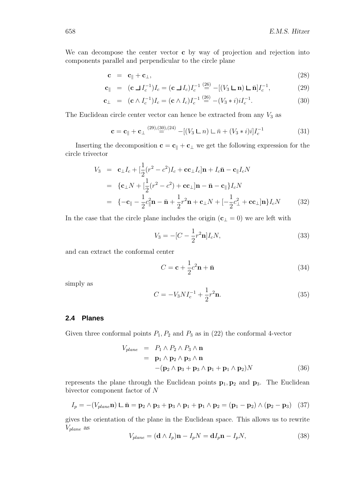We can decompose the center vector **c** by way of projection and rejection into components parallel and perpendicular to the circle plane

$$
\mathbf{c} = \mathbf{c}_{\parallel} + \mathbf{c}_{\perp},\tag{28}
$$

$$
\mathbf{c}_{\parallel} = (\mathbf{c} \sqcup I_c^{-1}) I_c = (\mathbf{c} \sqcup I_c) I_c^{-1} \stackrel{(26)}{=} -[(V_3 \sqcup \mathbf{n}) \sqcup \bar{\mathbf{n}}] I_c^{-1}, \tag{29}
$$

$$
\mathbf{c}_{\perp} = (\mathbf{c} \wedge I_c^{-1}) I_c = (\mathbf{c} \wedge I_c) I_c^{-1} \stackrel{(26)}{=} -(V_3 * i) i I_c^{-1}.
$$
 (30)

The Euclidean circle center vector can hence be extracted from any  $V_3$  as

$$
\mathbf{c} = \mathbf{c}_{\parallel} + \mathbf{c}_{\perp}^{(29),(30),(24)} - [(V_3 \mathbf{L} \cdot n) \mathbf{L} \cdot \bar{n} + (V_3 * i)i]I_c^{-1}
$$
(31)

Inserting the decomposition  $\mathbf{c} = \mathbf{c}_{\parallel} + \mathbf{c}_{\perp}$  we get the following expression for the circle trivector

$$
V_3 = \mathbf{c}_{\perp} I_c + \left[\frac{1}{2}(r^2 - c^2)I_c + \mathbf{c}\mathbf{c}_{\perp} I_c\right]\mathbf{n} + I_c \mathbf{\bar{n}} - \mathbf{c}_{\parallel} I_c N
$$
  
\n
$$
= \{ \mathbf{c}_{\perp} N + \left[\frac{1}{2}(r^2 - c^2) + \mathbf{c}\mathbf{c}_{\perp}\right]\mathbf{n} - \mathbf{\bar{n}} - \mathbf{c}_{\parallel} \} I_c N
$$
  
\n
$$
= \{-\mathbf{c}_{\parallel} - \frac{1}{2}c_{\parallel}^2 \mathbf{n} - \mathbf{\bar{n}} + \frac{1}{2}r^2 \mathbf{n} + \mathbf{c}_{\perp} N + \left[-\frac{1}{2}c_{\perp}^2 + \mathbf{c}\mathbf{c}_{\perp}\right]\mathbf{n} \} I_c N \qquad (32)
$$

In the case that the circle plane includes the origin  $(c<sub>⊥</sub> = 0)$  we are left with

$$
V_3 = -[C - \frac{1}{2}r^2 \mathbf{n}]I_c N,
$$
\n(33)

and can extract the conformal center

$$
C = \mathbf{c} + \frac{1}{2}c^2 \mathbf{n} + \bar{\mathbf{n}} \tag{34}
$$

simply as

$$
C = -V_3 N I_c^{-1} + \frac{1}{2} r^2 \mathbf{n}.
$$
 (35)

#### **2.4 Planes**

Given three conformal points  $P_1, P_2$  and  $P_3$  as in (22) the conformal 4-vector

$$
V_{plane} = P_1 \wedge P_2 \wedge P_3 \wedge \mathbf{n}
$$
  
=  $\mathbf{p}_1 \wedge \mathbf{p}_2 \wedge \mathbf{p}_3 \wedge \mathbf{n}$   
-( $\mathbf{p}_2 \wedge \mathbf{p}_3 + \mathbf{p}_3 \wedge \mathbf{p}_1 + \mathbf{p}_1 \wedge \mathbf{p}_2$ )N (36)

represents the plane through the Euclidean points  $p_1, p_2$  and  $p_3$ . The Euclidean bivector component factor of N

$$
I_p = -(V_{plane}\mathbf{n}) \sqcup \bar{\mathbf{n}} = \mathbf{p}_2 \wedge \mathbf{p}_3 + \mathbf{p}_3 \wedge \mathbf{p}_1 + \mathbf{p}_1 \wedge \mathbf{p}_2 = (\mathbf{p}_1 - \mathbf{p}_2) \wedge (\mathbf{p}_2 - \mathbf{p}_3) \tag{37}
$$

gives the orientation of the plane in the Euclidean space. This allows us to rewrite  $V_{plane}$  as

$$
V_{plane} = (\mathbf{d} \wedge I_p)\mathbf{n} - I_p N = \mathbf{d}I_p \mathbf{n} - I_p N, \qquad (38)
$$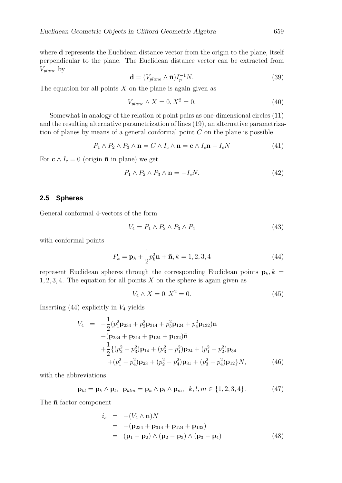where **d** represents the Euclidean distance vector from the origin to the plane, itself perpendicular to the plane. The Euclidean distance vector can be extracted from  $V_{plane}$  by

$$
\mathbf{d} = (V_{plane} \wedge \bar{\mathbf{n}})I_p^{-1}N. \tag{39}
$$

The equation for all points  $X$  on the plane is again given as

$$
V_{plane} \wedge X = 0, X^2 = 0. \tag{40}
$$

Somewhat in analogy of the relation of point pairs as one-dimensional circles (11) and the resulting alternative parametrization of lines (19), an alternative parametrization of planes by means of a general conformal point  $C$  on the plane is possible

$$
P_1 \wedge P_2 \wedge P_3 \wedge \mathbf{n} = C \wedge I_c \wedge \mathbf{n} = \mathbf{c} \wedge I_c \mathbf{n} - I_c N \tag{41}
$$

For  $c \wedge I_c = 0$  (origin  $\bar{n}$  in plane) we get

$$
P_1 \wedge P_2 \wedge P_3 \wedge \mathbf{n} = -I_c N. \tag{42}
$$

### **2.5 Spheres**

General conformal 4-vectors of the form

$$
V_4 = P_1 \wedge P_2 \wedge P_3 \wedge P_4 \tag{43}
$$

with conformal points

$$
P_k = \mathbf{p}_k + \frac{1}{2}p_k^2 \mathbf{n} + \bar{\mathbf{n}}, k = 1, 2, 3, 4
$$
 (44)

represent Euclidean spheres through the corresponding Euclidean points  $\mathbf{p}_k, k =$  $1, 2, 3, 4$ . The equation for all points X on the sphere is again given as

$$
V_4 \wedge X = 0, X^2 = 0. \tag{45}
$$

Inserting  $(44)$  explicitly in  $V_4$  yields

$$
V_4 = -\frac{1}{2}(p_1^2 \mathbf{p}_{234} + p_2^2 \mathbf{p}_{314} + p_3^2 \mathbf{p}_{124} + p_4^2 \mathbf{p}_{132})\mathbf{n}
$$
  
-( $\mathbf{p}_{234} + \mathbf{p}_{314} + \mathbf{p}_{124} + \mathbf{p}_{132})\mathbf{\bar{n}}$   
+ $\frac{1}{2}\{(p_2^2 - p_3^2)\mathbf{p}_{14} + (p_3^2 - p_1^2)\mathbf{p}_{24} + (p_1^2 - p_2^2)\mathbf{p}_{34}$   
+ $(p_1^2 - p_4^2)\mathbf{p}_{23} + (p_2^2 - p_4^2)\mathbf{p}_{31} + (p_3^2 - p_4^2)\mathbf{p}_{12}\}N,$  (46)

with the abbreviations

$$
\mathbf{p}_{kl} = \mathbf{p}_k \wedge \mathbf{p}_l, \ \ \mathbf{p}_{klm} = \mathbf{p}_k \wedge \mathbf{p}_l \wedge \mathbf{p}_m, \ \ k, l, m \in \{1, 2, 3, 4\}. \tag{47}
$$

The  $\bar{\mathbf{n}}$  factor component

$$
i_s = -(V_4 \wedge \mathbf{n})N
$$
  
= -(p<sub>234</sub> + p<sub>314</sub> + p<sub>124</sub> + p<sub>132</sub>)  
= (p<sub>1</sub> - p<sub>2</sub>) \wedge (p<sub>2</sub> - p<sub>3</sub>) \wedge (p<sub>3</sub> - p<sub>4</sub>) (48)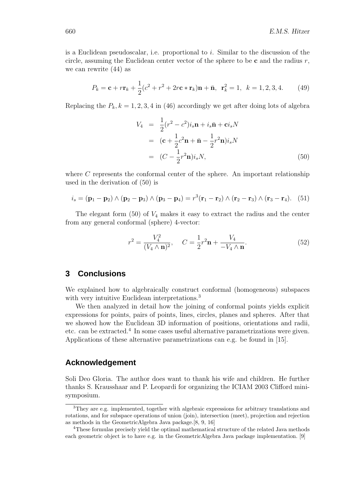is a Euclidean pseudoscalar, i.e. proportional to  $i$ . Similar to the discussion of the circle, assuming the Euclidean center vector of the sphere to be  $\bf{c}$  and the radius  $r$ , we can rewrite (44) as

$$
P_k = \mathbf{c} + r\mathbf{r}_k + \frac{1}{2}(c^2 + r^2 + 2r\mathbf{c} * \mathbf{r}_k)\mathbf{n} + \bar{\mathbf{n}}, \ \mathbf{r}_k^2 = 1, \ k = 1, 2, 3, 4.
$$
 (49)

Replacing the  $P_k$ ,  $k = 1, 2, 3, 4$  in (46) accordingly we get after doing lots of algebra

$$
V_4 = \frac{1}{2}(r^2 - c^2)i_s \mathbf{n} + i_s \bar{\mathbf{n}} + \mathbf{c}i_s N
$$
  
=  $(\mathbf{c} + \frac{1}{2}c^2 \mathbf{n} + \bar{\mathbf{n}} - \frac{1}{2}r^2 \mathbf{n})i_s N$   
=  $(C - \frac{1}{2}r^2 \mathbf{n})i_s N,$  (50)

where  $C$  represents the conformal center of the sphere. An important relationship used in the derivation of (50) is

$$
i_s = (\mathbf{p}_1 - \mathbf{p}_2) \wedge (\mathbf{p}_2 - \mathbf{p}_3) \wedge (\mathbf{p}_3 - \mathbf{p}_4) = r^3(\mathbf{r}_1 - \mathbf{r}_2) \wedge (\mathbf{r}_2 - \mathbf{r}_3) \wedge (\mathbf{r}_3 - \mathbf{r}_4). (51)
$$

The elegant form  $(50)$  of  $V_4$  makes it easy to extract the radius and the center from any general conformal (sphere) 4-vector:

$$
r^{2} = \frac{V_{4}^{2}}{(V_{4} \wedge \mathbf{n})^{2}}, \quad C = \frac{1}{2}r^{2}\mathbf{n} + \frac{V_{4}}{-V_{4} \wedge \mathbf{n}}.
$$
 (52)

## **3 Conclusions**

We explained how to algebraically construct conformal (homogeneous) subspaces with very intuitive Euclidean interpretations.<sup>3</sup>

We then analyzed in detail how the joining of conformal points yields explicit expressions for points, pairs of points, lines, circles, planes and spheres. After that we showed how the Euclidean 3D information of positions, orientations and radii, etc. can be extracted.<sup>4</sup> In some cases useful alternative parametrizations were given. Applications of these alternative parametrizations can e.g. be found in [15].

## **Acknowledgement**

Soli Deo Gloria. The author does want to thank his wife and children. He further thanks S. Krausshaar and P. Leopardi for organizing the ICIAM 2003 Clifford minisymposium.

<sup>3</sup>They are e.g. implemented, together with algebraic expressions for arbitrary translations and rotations, and for subspace operations of union (join), intersection (meet), projection and rejection as methods in the GeometricAlgebra Java package.[8, 9, 16]

<sup>4</sup>These formulas precisely yield the optimal mathematical structure of the related Java methods each geometric object is to have e.g. in the GeometricAlgebra Java package implementation. [9]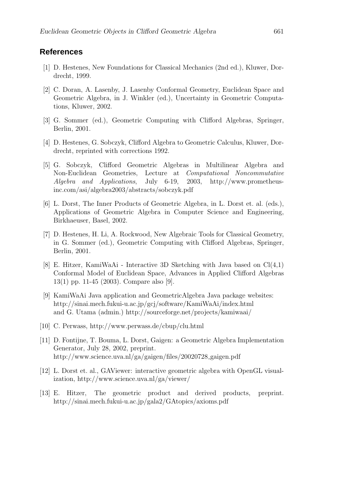## **References**

- [1] D. Hestenes, New Foundations for Classical Mechanics (2nd ed.), Kluwer, Dordrecht, 1999.
- [2] C. Doran, A. Lasenby, J. Lasenby Conformal Geometry, Euclidean Space and Geometric Algebra, in J. Winkler (ed.), Uncertainty in Geometric Computations, Kluwer, 2002.
- [3] G. Sommer (ed.), Geometric Computing with Clifford Algebras, Springer, Berlin, 2001.
- [4] D. Hestenes, G. Sobczyk, Clifford Algebra to Geometric Calculus, Kluwer, Dordrecht, reprinted with corrections 1992.
- [5] G. Sobczyk, Clifford Geometric Algebras in Multilinear Algebra and Non-Euclidean Geometries, Lecture at Computational Noncommutative Algebra and Applications, July 6-19, 2003, http://www.prometheusinc.com/asi/algebra2003/abstracts/sobczyk.pdf
- [6] L. Dorst, The Inner Products of Geometric Algebra, in L. Dorst et. al. (eds.), Applications of Geometric Algebra in Computer Science and Engineering, Birkhaeuser, Basel, 2002.
- [7] D. Hestenes, H. Li, A. Rockwood, New Algebraic Tools for Classical Geometry, in G. Sommer (ed.), Geometric Computing with Clifford Algebras, Springer, Berlin, 2001.
- [8] E. Hitzer, KamiWaAi Interactive 3D Sketching with Java based on  $Cl(4,1)$ Conformal Model of Euclidean Space, Advances in Applied Clifford Algebras 13(1) pp. 11-45 (2003). Compare also [9].
- [9] KamiWaAi Java application and GeometricAlgebra Java package websites: http://sinai.mech.fukui-u.ac.jp/gcj/software/KamiWaAi/index.html and G. Utama (admin.) http://sourceforge.net/projects/kamiwaai/
- [10] C. Perwass, http://www.perwass.de/cbup/clu.html
- [11] D. Fontijne, T. Bouma, L. Dorst, Gaigen: a Geometric Algebra Implementation Generator, July 28, 2002, preprint. http://www.science.uva.nl/ga/gaigen/files/20020728\_gaigen.pdf
- [12] L. Dorst et. al., GAViewer: interactive geometric algebra with OpenGL visualization, http://www.science.uva.nl/ga/viewer/
- [13] E. Hitzer, The geometric product and derived products, preprint. http://sinai.mech.fukui-u.ac.jp/gala2/GAtopics/axioms.pdf